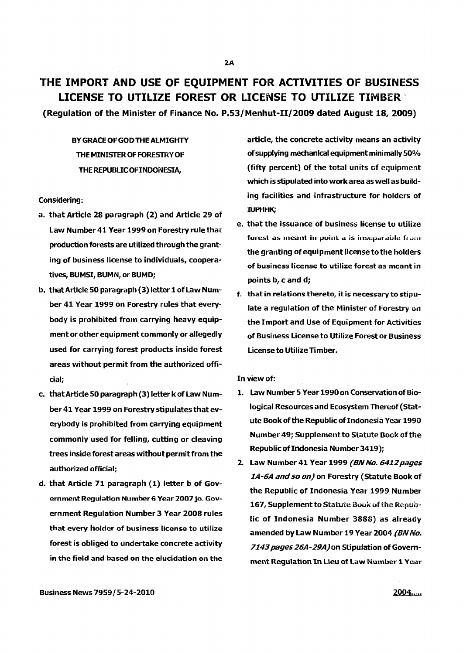# THE IMPORT AND USE OF EQUIPMENT FOR ACTIVITIES OF BUSINESS LICENSE TO UTILIZE FOREST OR LICENSE TO UTILIZE TIMBER'

(Regulation of the Minister of Finance No. P.53/Menhut-II/2009 dated August 18, 2009)

# BY GRACE OF GOD THE ALMIGHTY THE MINISTER OF FORESTRY OF THE REPUBLIC OF INDONESIA,

# Considering:

- a. that Article 28 paragraph (2) and Article 29 of Law Number 41 Year 1999 on Forestry rule that production forests are utilized through the granting of business license to individuals, cooperatives, BUMSI, BUMN, or BUMD;
- b. that Article 50 paragraph (3) letter 1 of Law Number 41 Year 1999 on Forestry rules that everybody is prohibited from carrying heavy equipment or other equipment commonly or allegedly used for carrying forest products inside forest areas without permit from the authorized official;
- c. thatArticle 50 paragraph (3) letter k of law Number41 Year 1999 on Forestry stipulates that everybody is prohibited from carrying equi pment commonly used for felling, cutting or cleaving trees inside forest areas without permit from the authorized official;
- d. that Article 71 paragraph (1) letter b of Government Regulation Number 6 Year 2007 jo. Government Regulation Number 3 Year 2008 rules that every holder of business license to utilize forest is obliged to undertake concrete activity in the field and based on the elucidation on the

article, the concrete activity means an activity ofsupplying mechanical equipment minimally 50% (fifty percent) of the total units of equipment which is stipulated intowork area as well as building facilities and infrastructure for holders of IUPHHK;

- e. that the issuance of business license to utilize forest as meant in point a is inseparable from the granting of equipment license to the holders of business license to utilize forest as meant in points b, c and d;
- f. that in relations thereto, it is necessary to stipulate a regulation of the Minister of Forestry on the Import and Use of Equipment for Activities of Business License to Utilize Forest or Business License to Utilize Timber.

### In view of:

- 1. law Number 5 Year 1990on Conservation of Biological Resources and Ecosystem Thereof (Statute Book of the Republic of Indonesia Year 1990 Number 49; Supplement to Statute Book ofthe Republic of Indonesia Number 3419);
- 2. Law Number 41 Year 1999 (BN No. 6412 pages 1A-6A and so on) on Forestry (Statute Book of the Republic of Indonesia Year 1999 Number 167, Supplement to Statute Book of the Republic of Indonesia Number 3888) as already amended by Law Number 19 Year 2004 (BN No. 7143 pages 26A-29A) on Stipulation of Government Regulation In Lieu of law Number <sup>1</sup> Year

2004.....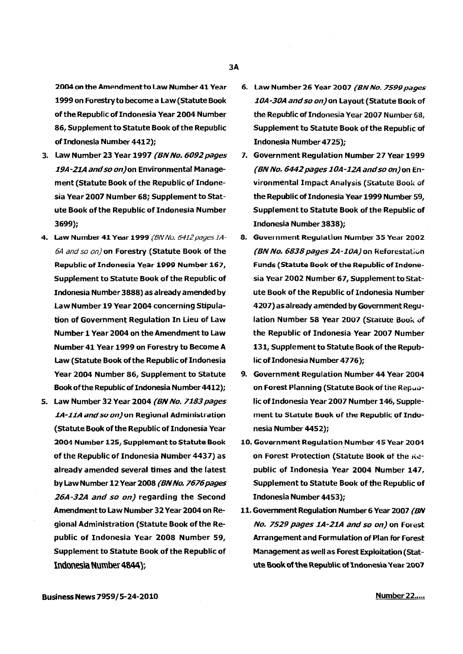2004 on the Amendment to Law Number 41 Year 1999 on Forestry to become a Law (Statute Book of the Republic of Indonesia Year 2004 Number 86, Supplement to Statute Book of the Republic of Indonesia Number 4412);

- 3. Law Number 23 Year 1997 (BN No. 6092 pages 19A-21A and*50* on)on Environmental Management (Statute Book of the Republic of Indonesia Year 2007 Number 68; Supplement to Statute Book of the Republic of Indonesia Number 3699);
- 4. Law Number 41 Year 1999 (BN No. 6412 pages 1A-6A and so on) on Forestry (Statute Book of the Republic of Indonesia Year 1999 Number 167, Supplement to Statute Book of the Republic of Indonesia Number 3888) as already amended by law Number 19 Year 2004 concerning Stipulation of Government Regulation In Lieu of Law Number 1 Year 2004 on the Amendment to Law Number 41 Year 1999 on Forestry to Become A Law (Statute Book ofthe Republic of Indonesia Year 2004 Number 86, Supplement to statute Book of the Republic of Indonesia Number 4412);
- 5. Law Number 32 Year 2004 (BN No. 7183 pages *1A-11A endso on)* un Regiunal Administration (Statute Book of the Republic of Indonesia Year 2004 Number 125, Supplement to Statute Book of the Republic of Indonesia Number 4437) as already amended several times and the latest by Law Number 12 Year 2008 (BN No. 7676 pages 26A-32A and so on) regarding the Second Amendment to Law Number 32Year 2004 on Regional Administration (Statute Book of the Republic of Indonesia Year 2008 Number 59, Supplement to Statute Book of the Republic of Indonesia Number 4844);

6. Law Number 26 Year 2007 (BN No. 7599 pages 10A-30A and so on) on Layout (Statute Book of the Republic of Indonesia Year 2007 Number 68, Supplement to Statute Book of the Republic of

Indonesia Number 4725);

- 7. Government Regulation Number 27 Year 1999 (BN No. 6442 pages 10A-12A and so on) on Environmental Impact Analysis (Statute Book of the Republic of Indonesia Year 1999 Number 59, Supplement to Statute Book of the Republic of Indonesia Number 3838);
- 8. Government Regulation Number 35 Year 2002 (BN No. 6838 pages 2A-10A) on Reforestation Funds (Statute Book of the Republic of Indonesia Year 2002 Number 67, Supplement to Statute Book of the Republic of Indonesia Number 4207) as already amended by Government Regulation Number 58 Year 2007 (Statute Book of the Republic of Indonesia Year 2007 Number 131, Supplement to Statute Book of the Republic of Indonesia Number 4776);
- 9. Government Regulation Number 44 Year 2004 on Forest Planning (Statute Book of the Repuolic of Indonesia Year 2007 Number 146, Supplement tu Statute Buok of the Republic of Indunesia Number 4452);
- 10. Government Regulation Number 4S Year 2004 on Forest Protection (Statute Book of the Republic of Indonesia Year 2004 Number 147, Supplement to Statute Book of the Republic of Indonesia Number 4453);
- 11. Government Regulation Number 6 Year 2007 *(ON* No. 7529 pages 1A-21A and so on) on Forest Arrangement and Formulation of Plan for Forest Management as well as Forest Exploitation (Statute Book of the Republic of Indonesia Year 2007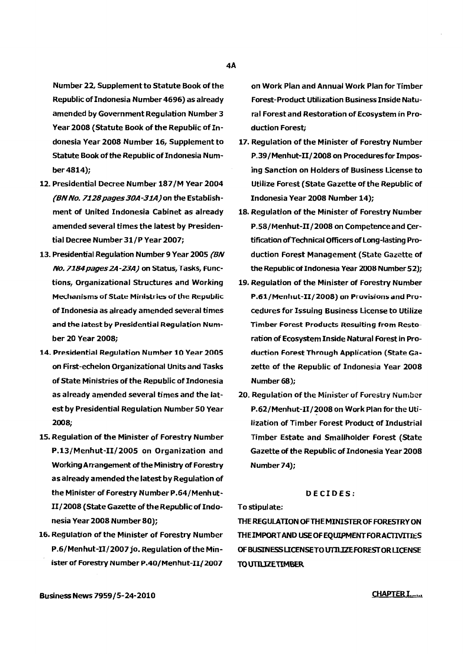Number 22, Supplement to Statute Book of the Republic of Indonesia Number 4696) as already amended by Government Regulation Number 3 Year 2008 (Statute Book of the Republic of Indonesia Year 2008 Number 16, Supplement to Statute Book of the Republic of Indonesia Number 4814);

- 12. Presidential Decree Number 187/M Year 2004 (BNNo. 7128pages *30A-31A)* on the Establishment of United Indonesia Cabinet as already amended several times the latest by Presidential Decree Number 31/P Year 2007;
- 13. Presidential Regulation Number 9 Year 2005 (BN No. 7184 pages 2A-23A) on Status, Tasks, Functions, Organizational Structures and Working Mechanisms of State Ministries of the Republic of Indonesia as already amended several times and the latest by Presidential Regulation Number 20 Year 2008;
- 14. Presidential Regulation Number 10 Year 2005 on First-echelon Organizational Units and Tasks of State Ministries of the Republic of Indonesia as already amended several times and the latest by Presidential Regulation Number 50 Year 2008;
- 15. Regulation of the Minister of Forestry Number P.13/Menhut-I1/2005 on Organization and Working Arrangement of the Ministry of Forestry as already amended the latest by Regulation of the Minister of Forestry Number P.64/Menhut-II/2008 (State Gazette of the Republic of Indonesia Year 2008 Number 80);
- 16. Regulation of the Minister of Forestry Number P.6/Menhut-II/2007 jo. Regulation of the Minister of Forestry Number P.40/Menhut-II/2007

on Work Plan and Annual Work Plan for Timber Forest-Product Utilization Business Inside Natural Forest and Restoration of Ecosystem in Production Forest;

- 17. Regulation of the Minister of Forestry Number P.39/Menhut-II/2008 on Procedures for Imposing Sanction on Holders of Business License to Utilize Forest (State Gazette of the Republic of Indonesia Year 2008 Number 14);
- 18. Regulation of the Minister of Forestry Number P.58/Menhut-II/2008 on Competence and Certification of Technical Officers of Long-lasting Production Forest Management (State Gazette of the Republic of Indonesia Year 2008 Number 52);
- 19. Regulation of the Minister of Forestry Number P.61/Menhut-II/2008) on Provisions and Procedures for Issuing Business License to Utilize Timber Forest Products Resulting from Restoration of Ecosystem Inside Natural Forest in Production Forest Through Application (State Gazette of the Republic of Indonesia Year 2008 Number 68);
- 20. Regulation of the Minister of Forestry Number P.62/Menhut-I1/2008 on Work Plan for the Utilization of Timber Forest Product of Industrial Timber Estate and Smallholder Forest (State Gazette of the Republic of Indonesia Year 2008 Number 74);

# DECIDES;

To stipulate;

THEREGULATION OFTHEMINISTEROF FORESTRYON THE IMPORT AND USE OF EQUIPMENT FOR ACTIVITIES OF BUSINESS LICENSE TO UTILIZE FOREST OR LICENSE TOUTllIZETIMBER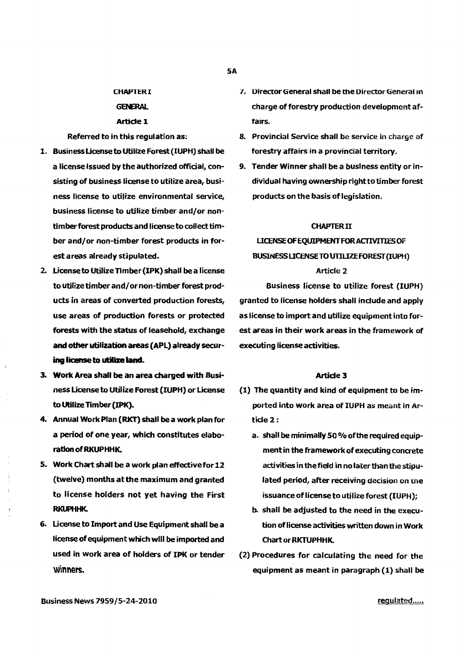#### CHAPTERI

#### GENERAl.

#### **Article 1**

Referred to in this regulation as:

- 1. Business License to Utilize Forest (IUPH) shall be a license issued by the authorized official, consisting of business license to utilize area, business license to utilize environmental service, business license to utilize timber and/or nontimber forest products and license to collect timber and/or non-timber forest products in forest areas already stipulated.
- 2. License to UtilizeTimber(IPK) shall be a license to utilize timber and/ornon-timber forest products in areas of converted production forests, use areas of production forests or protected forests with the status of leasehold, exchange and other utilization areas (APL) already securing license to utilizeland.
- 3. Work Area shall be an area charged with Busi· ness License to Utilize Forest (IUPH) or License to Utilize Timber (IPK).
- 4. Annual Work Plan (RKT) shall be a work plan for a period of one year, which constitutes elaborationofRKUPHHK.
- 5. Work Chart shall be a work plan effective for 12 (twelve) months at the maximum and granted to license holders not yet having the First RKUPHHK.
- 6. License to Import and Use Equipment shall be a license of equipment which will be imported and used in work area of holders of IPK or tender winners.
- 7. Director General shall be the Director General in charge of forestry production development affairs.
- 8. Provincial Service shall be service in charge of forestry affairs in a provincial territory.
- 9. Tender Winner shall be a business entity or individual having ownership right to timber forest products on the basis of legislation.

# **CHAPTER II**

# UCENSEOFEQUIPMENTFORACTIVITIESOF BUSINESS LICENSE TO UTILIZE FOREST (IUPH)

## Article 2

Business license to utilize forest (IUPH) granted to license holders shall include and apply as license to import and utilize equipment into forest areas in their work areas in the framework of executing license activities.

#### Artide3

- (1) The quantity and kind of equipment to be imported into work area of IUPH as meant in Article 2:
	- a. shall be minimally 50% of the required equipment in the framework of executing concrete activities in the field in no later than the stipulated period, after receiving decision on tne issuance of license to utilize forest (IUPH);
	- b. shall be adjusted to the need in the execution of license activities written down in Work **Chart or RKTUPHHK.**
- (2) Procedures for calculating the need for the equipment as meant in paragraph (1) shall be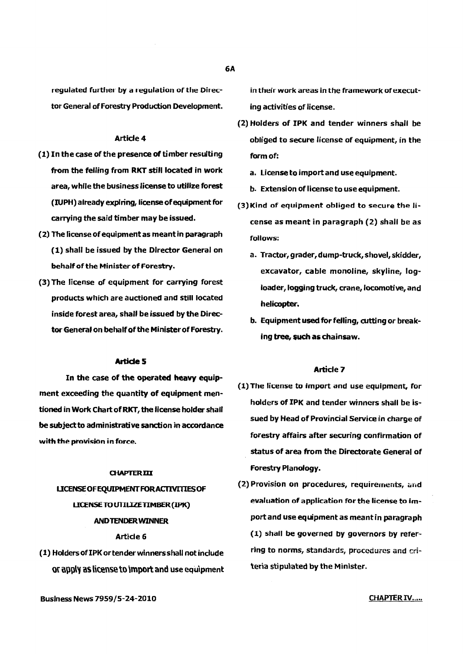regulated further by a regulation of the Director General of Forestry Production Development.

#### Article 4

- (1) In the case of the presence of timber resulting from the felling from RKT still located in work area, while the business license to utilize forest (IUPH) already expiring, license ofequipment for carrying the said timber may be issued.
- (2) The license ofequipment as meant in paragraph (1) shall be issued by the Director General on behalf of the Minister of Forestry.
- (3) The license of equipment for carrying forest products which are auctioned and still located inside forest area, shall be issued by the Director General on behalf of the Minister of Forestry.

#### **Article S**

In the case of the operated heavy equipment exceeding the quantity of equipment mentioned in Work Chart ofRKT, the license holder shall be subject to administrative sanction in accordance with the provision in force.

#### **CHAPTERIM**

# LICENSE OF EQUIPMENT FOR ACTIVITIES OF LICENSE TO UTILIZE TIMBER (IPK) AND TENDER WINNER Article 6

(1) Holders of IPK or tender winners shall not include Or apply as license to import and use equipment in their work areas in the framework or executing activities of license.

- (2) Holders of IPK and tender winners shall be obliged to secure license of equipment, in the form of:
	- a. License to importand use equipment.
	- b. Extension of license to use equipment.
- (3) Kind of equipment obliged to secure the license as meant in paragraph (2) shall be as follows:
	- a. Tractor, grader, dump-truck, shovel, skidder, excavator, cable monoline, skyline, logloader, logging truck, crane, locomotive, and helicopter.
	- b. Equipment used for felling, cutting or breaking tree, such as chainsaw.

# Article 7

- (1) The license to import and use equipment, for holders of IPK and tender winners shall be issued by Head of Provincial Service in charge of forestry affairs after securing confirmation of status of area from the Directorate General of Forestry Planology.
- (2) Provision on procedures, requirements, and evaluation of application for the license to import and use equipment as meant in paragraph (1) shall be governed by governors by referring to norms, standards, procedures and criteria stipulated by the Minister.

Business News 7959/5~24~2010

#### CHAPTERIV.....